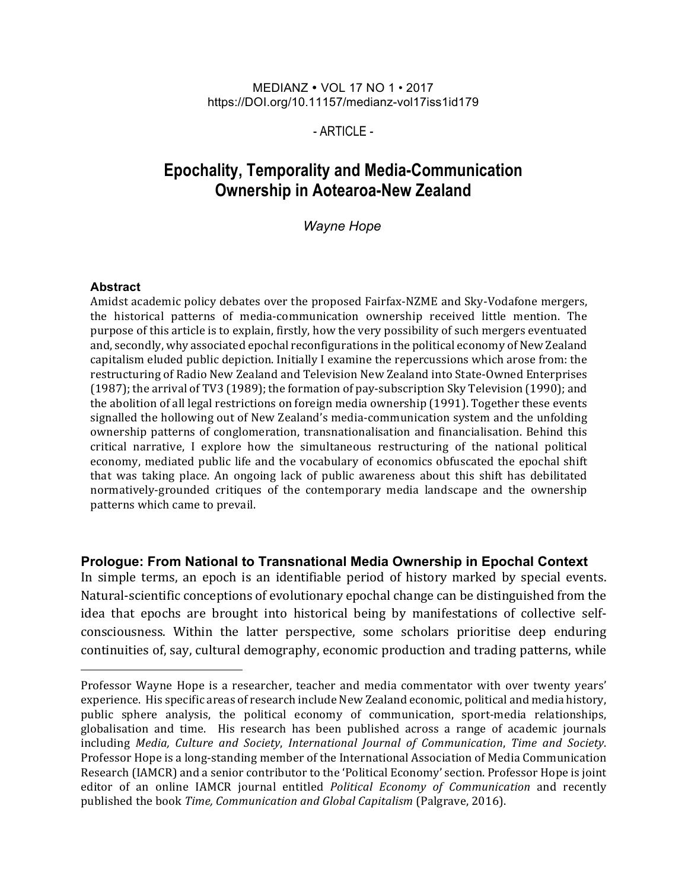#### MEDIANZ • VOL 17 NO 1 • 2017 https://DOI.org/10.11157/medianz-vol17iss1id179

### $-$  ARTICLE $-$

# **Epochality, Temporality and Media-Communication Ownership in Aotearoa-New Zealand**

*Wayne Hope*

#### **Abstract**

Amidst academic policy debates over the proposed Fairfax-NZME and Sky-Vodafone mergers, the historical patterns of media-communication ownership received little mention. The purpose of this article is to explain, firstly, how the very possibility of such mergers eventuated and, secondly, why associated epochal reconfigurations in the political economy of New Zealand capitalism eluded public depiction. Initially I examine the repercussions which arose from: the restructuring of Radio New Zealand and Television New Zealand into State-Owned Enterprises (1987); the arrival of TV3 (1989); the formation of pay-subscription Sky Television (1990); and the abolition of all legal restrictions on foreign media ownership (1991). Together these events signalled the hollowing out of New Zealand's media-communication system and the unfolding ownership patterns of conglomeration, transnationalisation and financialisation. Behind this critical narrative, I explore how the simultaneous restructuring of the national political economy, mediated public life and the vocabulary of economics obfuscated the epochal shift that was taking place. An ongoing lack of public awareness about this shift has debilitated normatively-grounded critiques of the contemporary media landscape and the ownership patterns which came to prevail.

### **Prologue: From National to Transnational Media Ownership in Epochal Context**

In simple terms, an epoch is an identifiable period of history marked by special events. Natural-scientific conceptions of evolutionary epochal change can be distinguished from the idea that epochs are brought into historical being by manifestations of collective selfconsciousness. Within the latter perspective, some scholars prioritise deep enduring continuities of, say, cultural demography, economic production and trading patterns, while

Professor Wayne Hope is a researcher, teacher and media commentator with over twenty years' experience. His specific areas of research include New Zealand economic, political and media history, public sphere analysis, the political economy of communication, sport-media relationships, globalisation and time. His research has been published across a range of academic journals including *Media, Culture and Society*, *International Journal of Communication*, *Time and Society*. Professor Hope is a long-standing member of the International Association of Media Communication Research (IAMCR) and a senior contributor to the 'Political Economy' section. Professor Hope is joint editor of an online IAMCR journal entitled *Political Economy of Communication* and recently published the book *Time, Communication and Global Capitalism* (Palgrave, 2016).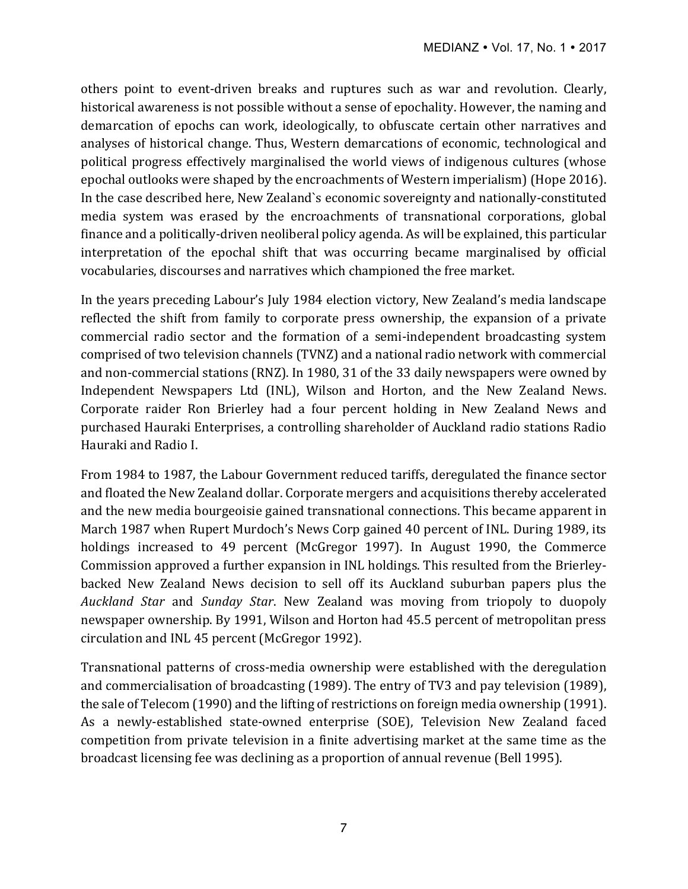others point to event-driven breaks and ruptures such as war and revolution. Clearly, historical awareness is not possible without a sense of epochality. However, the naming and demarcation of epochs can work, ideologically, to obfuscate certain other narratives and analyses of historical change. Thus, Western demarcations of economic, technological and political progress effectively marginalised the world views of indigenous cultures (whose epochal outlooks were shaped by the encroachments of Western imperialism) (Hope 2016). In the case described here, New Zealand's economic sovereignty and nationally-constituted media system was erased by the encroachments of transnational corporations, global finance and a politically-driven neoliberal policy agenda. As will be explained, this particular interpretation of the epochal shift that was occurring became marginalised by official vocabularies, discourses and narratives which championed the free market.

In the years preceding Labour's July 1984 election victory, New Zealand's media landscape reflected the shift from family to corporate press ownership, the expansion of a private commercial radio sector and the formation of a semi-independent broadcasting system comprised of two television channels (TVNZ) and a national radio network with commercial and non-commercial stations (RNZ). In 1980, 31 of the 33 daily newspapers were owned by Independent Newspapers Ltd (INL), Wilson and Horton, and the New Zealand News. Corporate raider Ron Brierley had a four percent holding in New Zealand News and purchased Hauraki Enterprises, a controlling shareholder of Auckland radio stations Radio Hauraki and Radio I.

From 1984 to 1987, the Labour Government reduced tariffs, deregulated the finance sector and floated the New Zealand dollar. Corporate mergers and acquisitions thereby accelerated and the new media bourgeoisie gained transnational connections. This became apparent in March 1987 when Rupert Murdoch's News Corp gained 40 percent of INL. During 1989, its holdings increased to 49 percent (McGregor 1997). In August 1990, the Commerce Commission approved a further expansion in INL holdings. This resulted from the Brierleybacked New Zealand News decision to sell off its Auckland suburban papers plus the *Auckland Star* and *Sunday Star*. New Zealand was moving from triopoly to duopoly newspaper ownership. By 1991, Wilson and Horton had 45.5 percent of metropolitan press circulation and INL 45 percent (McGregor 1992).

Transnational patterns of cross-media ownership were established with the deregulation and commercialisation of broadcasting (1989). The entry of TV3 and pay television (1989), the sale of Telecom (1990) and the lifting of restrictions on foreign media ownership (1991). As a newly-established state-owned enterprise (SOE), Television New Zealand faced competition from private television in a finite advertising market at the same time as the broadcast licensing fee was declining as a proportion of annual revenue (Bell 1995).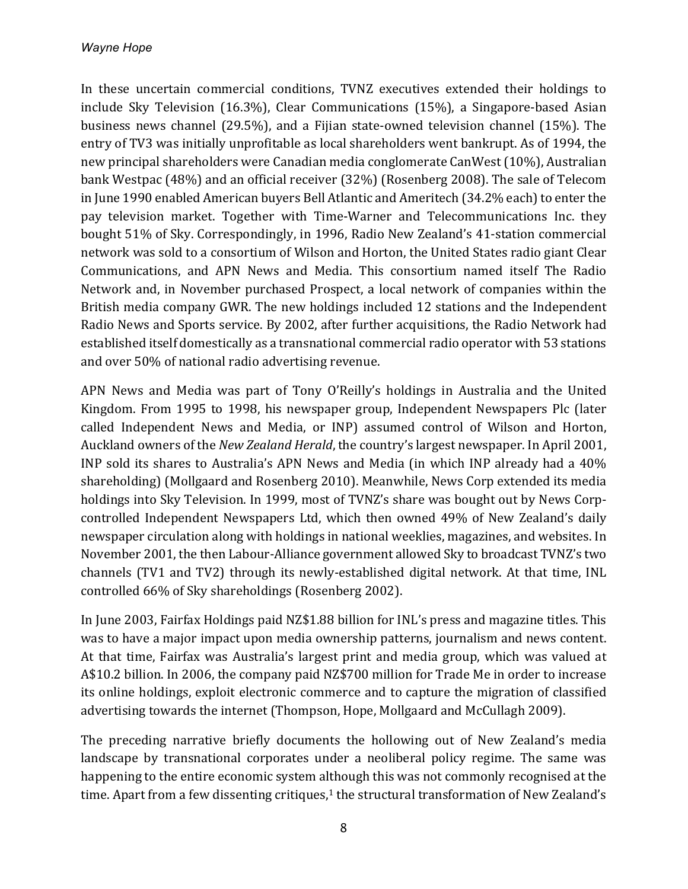In these uncertain commercial conditions, TVNZ executives extended their holdings to include Sky Television (16.3%), Clear Communications (15%), a Singapore-based Asian business news channel (29.5%), and a Fijian state-owned television channel (15%). The entry of TV3 was initially unprofitable as local shareholders went bankrupt. As of 1994, the new principal shareholders were Canadian media conglomerate CanWest (10%), Australian bank Westpac (48%) and an official receiver (32%) (Rosenberg 2008). The sale of Telecom in June 1990 enabled American buyers Bell Atlantic and Ameritech (34.2% each) to enter the pay television market. Together with Time-Warner and Telecommunications Inc. they bought 51% of Sky. Correspondingly, in 1996, Radio New Zealand's 41-station commercial network was sold to a consortium of Wilson and Horton, the United States radio giant Clear Communications, and APN News and Media. This consortium named itself The Radio Network and, in November purchased Prospect, a local network of companies within the British media company GWR. The new holdings included 12 stations and the Independent Radio News and Sports service. By 2002, after further acquisitions, the Radio Network had established itself domestically as a transnational commercial radio operator with 53 stations and over 50% of national radio advertising revenue.

APN News and Media was part of Tony O'Reilly's holdings in Australia and the United Kingdom. From 1995 to 1998, his newspaper group, Independent Newspapers Plc (later called Independent News and Media, or INP) assumed control of Wilson and Horton, Auckland owners of the *New Zealand Herald*, the country's largest newspaper. In April 2001, INP sold its shares to Australia's APN News and Media (in which INP already had a 40% shareholding) (Mollgaard and Rosenberg 2010). Meanwhile, News Corp extended its media holdings into Sky Television. In 1999, most of TVNZ's share was bought out by News Corpcontrolled Independent Newspapers Ltd, which then owned 49% of New Zealand's daily newspaper circulation along with holdings in national weeklies, magazines, and websites. In November 2001, the then Labour-Alliance government allowed Sky to broadcast TVNZ's two channels (TV1 and TV2) through its newly-established digital network. At that time, INL controlled  $66\%$  of Sky shareholdings (Rosenberg 2002).

In June 2003, Fairfax Holdings paid NZ\$1.88 billion for INL's press and magazine titles. This was to have a major impact upon media ownership patterns, journalism and news content. At that time, Fairfax was Australia's largest print and media group, which was valued at A\$10.2 billion. In 2006, the company paid NZ\$700 million for Trade Me in order to increase its online holdings, exploit electronic commerce and to capture the migration of classified advertising towards the internet (Thompson, Hope, Mollgaard and McCullagh 2009).

The preceding narrative briefly documents the hollowing out of New Zealand's media landscape by transnational corporates under a neoliberal policy regime. The same was happening to the entire economic system although this was not commonly recognised at the time. Apart from a few dissenting critiques, $1$  the structural transformation of New Zealand's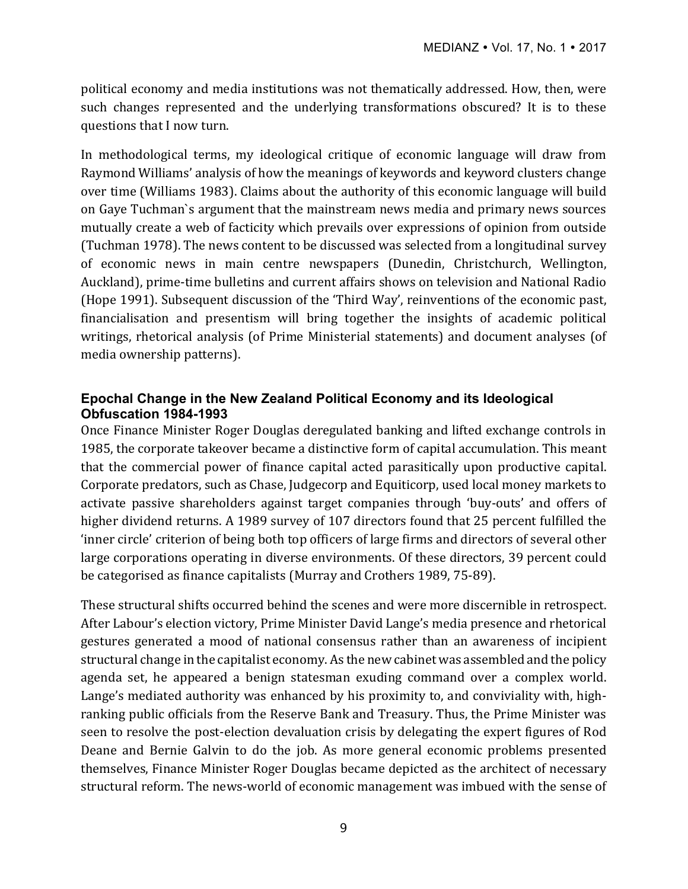political economy and media institutions was not thematically addressed. How, then, were such changes represented and the underlying transformations obscured? It is to these questions that I now turn.

In methodological terms, my ideological critique of economic language will draw from Raymond Williams' analysis of how the meanings of keywords and keyword clusters change over time (Williams 1983). Claims about the authority of this economic language will build on Gaye Tuchman's argument that the mainstream news media and primary news sources mutually create a web of facticity which prevails over expressions of opinion from outside (Tuchman 1978). The news content to be discussed was selected from a longitudinal survey of economic news in main centre newspapers (Dunedin, Christchurch, Wellington, Auckland), prime-time bulletins and current affairs shows on television and National Radio (Hope 1991). Subsequent discussion of the 'Third Way', reinventions of the economic past, financialisation and presentism will bring together the insights of academic political writings, rhetorical analysis (of Prime Ministerial statements) and document analyses (of media ownership patterns).

## **Epochal Change in the New Zealand Political Economy and its Ideological Obfuscation 1984-1993**

Once Finance Minister Roger Douglas deregulated banking and lifted exchange controls in 1985, the corporate takeover became a distinctive form of capital accumulation. This meant that the commercial power of finance capital acted parasitically upon productive capital. Corporate predators, such as Chase, Judgecorp and Equiticorp, used local money markets to activate passive shareholders against target companies through 'buy-outs' and offers of higher dividend returns. A 1989 survey of 107 directors found that 25 percent fulfilled the 'inner circle' criterion of being both top officers of large firms and directors of several other large corporations operating in diverse environments. Of these directors, 39 percent could be categorised as finance capitalists (Murray and Crothers 1989, 75-89).

These structural shifts occurred behind the scenes and were more discernible in retrospect. After Labour's election victory, Prime Minister David Lange's media presence and rhetorical gestures generated a mood of national consensus rather than an awareness of incipient structural change in the capitalist economy. As the new cabinet was assembled and the policy agenda set, he appeared a benign statesman exuding command over a complex world. Lange's mediated authority was enhanced by his proximity to, and conviviality with, highranking public officials from the Reserve Bank and Treasury. Thus, the Prime Minister was seen to resolve the post-election devaluation crisis by delegating the expert figures of Rod Deane and Bernie Galvin to do the job. As more general economic problems presented themselves, Finance Minister Roger Douglas became depicted as the architect of necessary structural reform. The news-world of economic management was imbued with the sense of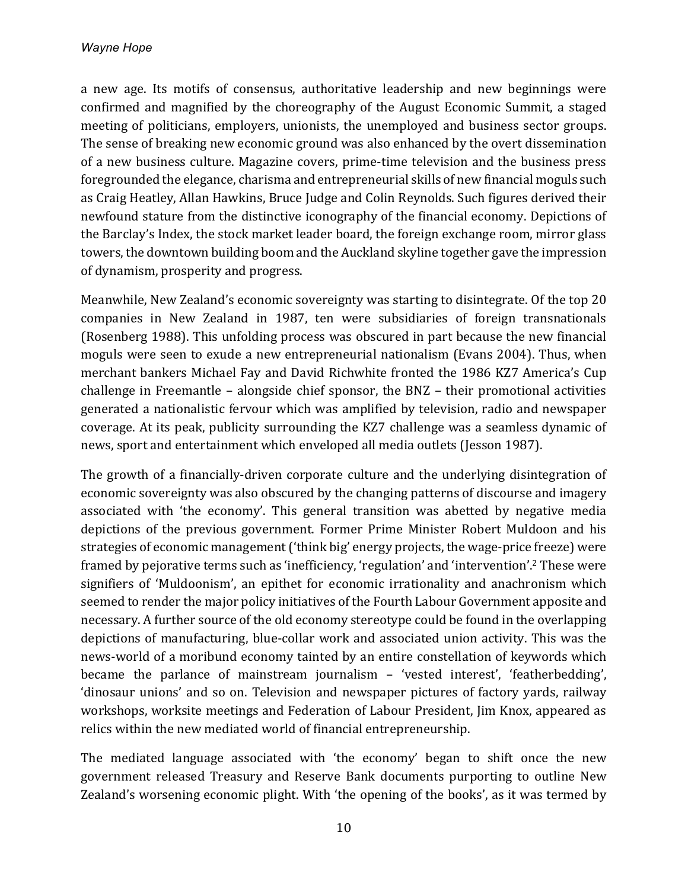a new age. Its motifs of consensus, authoritative leadership and new beginnings were confirmed and magnified by the choreography of the August Economic Summit, a staged meeting of politicians, employers, unionists, the unemployed and business sector groups. The sense of breaking new economic ground was also enhanced by the overt dissemination of a new business culture. Magazine covers, prime-time television and the business press foregrounded the elegance, charisma and entrepreneurial skills of new financial moguls such as Craig Heatley, Allan Hawkins, Bruce Judge and Colin Reynolds. Such figures derived their newfound stature from the distinctive iconography of the financial economy. Depictions of the Barclay's Index, the stock market leader board, the foreign exchange room, mirror glass towers, the downtown building boom and the Auckland skyline together gave the impression of dynamism, prosperity and progress.

Meanwhile, New Zealand's economic sovereignty was starting to disintegrate. Of the top 20 companies in New Zealand in 1987, ten were subsidiaries of foreign transnationals (Rosenberg 1988). This unfolding process was obscured in part because the new financial moguls were seen to exude a new entrepreneurial nationalism (Evans 2004). Thus, when merchant bankers Michael Fay and David Richwhite fronted the 1986 KZ7 America's Cup challenge in Freemantle  $-$  alongside chief sponsor, the BNZ  $-$  their promotional activities generated a nationalistic fervour which was amplified by television, radio and newspaper coverage. At its peak, publicity surrounding the KZ7 challenge was a seamless dynamic of news, sport and entertainment which enveloped all media outlets (Jesson 1987).

The growth of a financially-driven corporate culture and the underlying disintegration of economic sovereignty was also obscured by the changing patterns of discourse and imagery associated with 'the economy'. This general transition was abetted by negative media depictions of the previous government. Former Prime Minister Robert Muldoon and his strategies of economic management ('think big' energy projects, the wage-price freeze) were framed by pejorative terms such as 'inefficiency, 'regulation' and 'intervention'.<sup>2</sup> These were signifiers of 'Muldoonism', an epithet for economic irrationality and anachronism which seemed to render the major policy initiatives of the Fourth Labour Government apposite and necessary. A further source of the old economy stereotype could be found in the overlapping depictions of manufacturing, blue-collar work and associated union activity. This was the news-world of a moribund economy tainted by an entire constellation of keywords which became the parlance of mainstream journalism  $-$  'vested interest', 'featherbedding', 'dinosaur unions' and so on. Television and newspaper pictures of factory yards, railway workshops, worksite meetings and Federation of Labour President, I im Knox, appeared as relics within the new mediated world of financial entrepreneurship.

The mediated language associated with 'the economy' began to shift once the new government released Treasury and Reserve Bank documents purporting to outline New Zealand's worsening economic plight. With 'the opening of the books', as it was termed by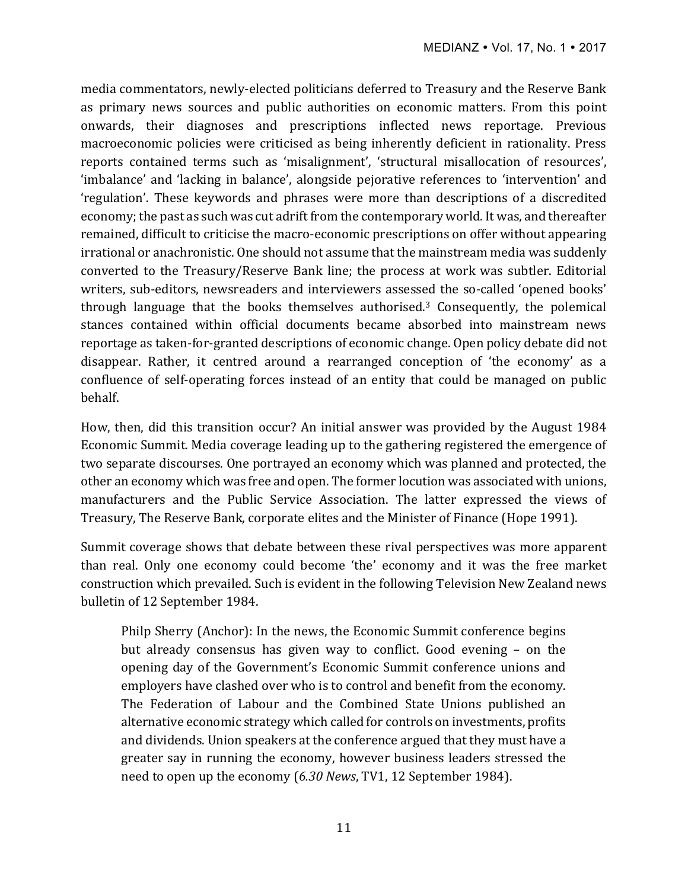media commentators, newly-elected politicians deferred to Treasury and the Reserve Bank as primary news sources and public authorities on economic matters. From this point onwards, their diagnoses and prescriptions inflected news reportage. Previous macroeconomic policies were criticised as being inherently deficient in rationality. Press reports contained terms such as 'misalignment', 'structural misallocation of resources', 'imbalance' and 'lacking in balance', alongside pejorative references to 'intervention' and 'regulation'. These keywords and phrases were more than descriptions of a discredited economy; the past as such was cut adrift from the contemporary world. It was, and thereafter remained, difficult to criticise the macro-economic prescriptions on offer without appearing irrational or anachronistic. One should not assume that the mainstream media was suddenly converted to the Treasury/Reserve Bank line; the process at work was subtler. Editorial writers, sub-editors, newsreaders and interviewers assessed the so-called 'opened books' through language that the books themselves authorised.<sup>3</sup> Consequently, the polemical stances contained within official documents became absorbed into mainstream news reportage as taken-for-granted descriptions of economic change. Open policy debate did not disappear. Rather, it centred around a rearranged conception of 'the economy' as a confluence of self-operating forces instead of an entity that could be managed on public behalf.

How, then, did this transition occur? An initial answer was provided by the August 1984 Economic Summit. Media coverage leading up to the gathering registered the emergence of two separate discourses. One portrayed an economy which was planned and protected, the other an economy which was free and open. The former locution was associated with unions, manufacturers and the Public Service Association. The latter expressed the views of Treasury, The Reserve Bank, corporate elites and the Minister of Finance (Hope 1991).

Summit coverage shows that debate between these rival perspectives was more apparent than real. Only one economy could become 'the' economy and it was the free market construction which prevailed. Such is evident in the following Television New Zealand news bulletin of 12 September 1984.

Philp Sherry (Anchor): In the news, the Economic Summit conference begins but already consensus has given way to conflict. Good evening - on the opening day of the Government's Economic Summit conference unions and employers have clashed over who is to control and benefit from the economy. The Federation of Labour and the Combined State Unions published an alternative economic strategy which called for controls on investments, profits and dividends. Union speakers at the conference argued that they must have a greater say in running the economy, however business leaders stressed the need to open up the economy (6.30 News, TV1, 12 September 1984).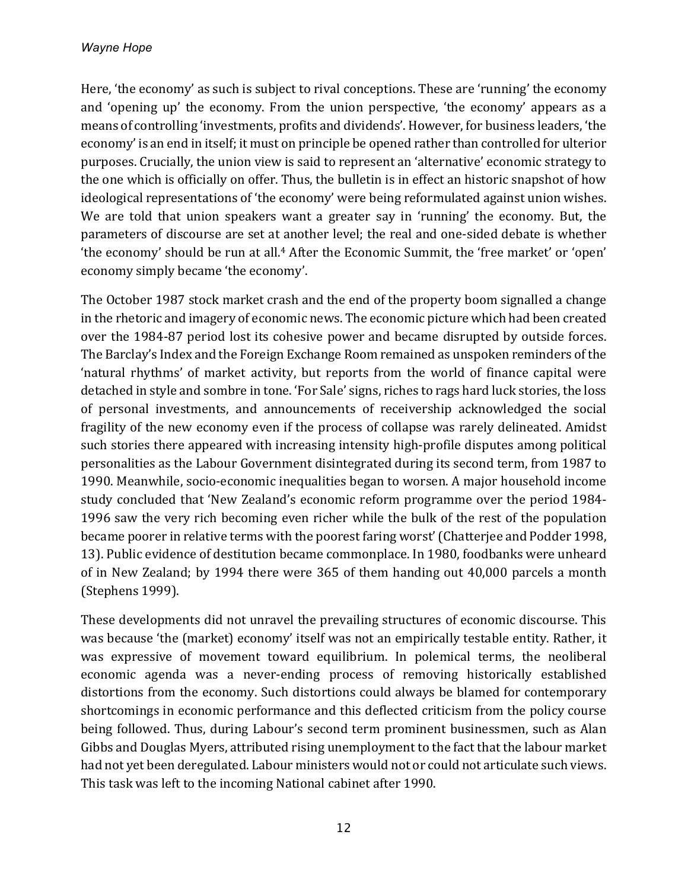Here, 'the economy' as such is subject to rival conceptions. These are 'running' the economy and 'opening up' the economy. From the union perspective, 'the economy' appears as a means of controlling 'investments, profits and dividends'. However, for business leaders, 'the economy' is an end in itself; it must on principle be opened rather than controlled for ulterior purposes. Crucially, the union view is said to represent an 'alternative' economic strategy to the one which is officially on offer. Thus, the bulletin is in effect an historic snapshot of how ideological representations of 'the economy' were being reformulated against union wishes. We are told that union speakers want a greater say in 'running' the economy. But, the parameters of discourse are set at another level; the real and one-sided debate is whether 'the economy' should be run at all.<sup>4</sup> After the Economic Summit, the 'free market' or 'open' economy simply became 'the economy'.

The October 1987 stock market crash and the end of the property boom signalled a change in the rhetoric and imagery of economic news. The economic picture which had been created over the 1984-87 period lost its cohesive power and became disrupted by outside forces. The Barclay's Index and the Foreign Exchange Room remained as unspoken reminders of the 'natural rhythms' of market activity, but reports from the world of finance capital were detached in style and sombre in tone. 'For Sale' signs, riches to rags hard luck stories, the loss of personal investments, and announcements of receivership acknowledged the social fragility of the new economy even if the process of collapse was rarely delineated. Amidst such stories there appeared with increasing intensity high-profile disputes among political personalities as the Labour Government disintegrated during its second term, from 1987 to 1990. Meanwhile, socio-economic inequalities began to worsen. A major household income study concluded that 'New Zealand's economic reform programme over the period 1984-1996 saw the very rich becoming even richer while the bulk of the rest of the population became poorer in relative terms with the poorest faring worst' (Chatterjee and Podder 1998, 13). Public evidence of destitution became commonplace. In 1980, foodbanks were unheard of in New Zealand; by 1994 there were 365 of them handing out 40,000 parcels a month (Stephens 1999). 

These developments did not unravel the prevailing structures of economic discourse. This was because 'the (market) economy' itself was not an empirically testable entity. Rather, it was expressive of movement toward equilibrium. In polemical terms, the neoliberal economic agenda was a never-ending process of removing historically established distortions from the economy. Such distortions could always be blamed for contemporary shortcomings in economic performance and this deflected criticism from the policy course being followed. Thus, during Labour's second term prominent businessmen, such as Alan Gibbs and Douglas Myers, attributed rising unemployment to the fact that the labour market had not yet been deregulated. Labour ministers would not or could not articulate such views. This task was left to the incoming National cabinet after 1990.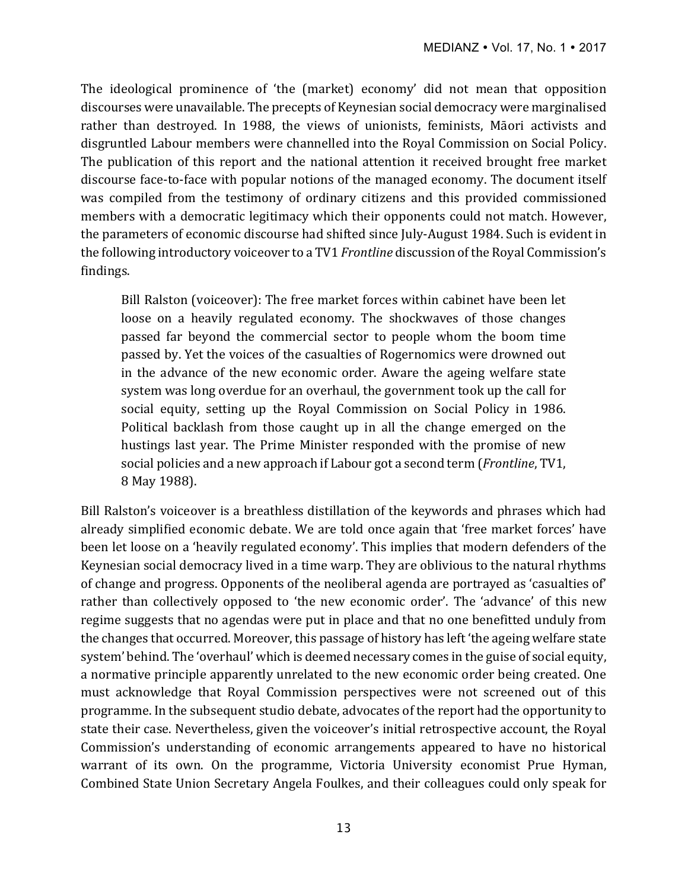The ideological prominence of 'the (market) economy' did not mean that opposition discourses were unavailable. The precepts of Keynesian social democracy were marginalised rather than destroyed. In 1988, the views of unionists, feminists, Māori activists and disgruntled Labour members were channelled into the Royal Commission on Social Policy. The publication of this report and the national attention it received brought free market discourse face-to-face with popular notions of the managed economy. The document itself was compiled from the testimony of ordinary citizens and this provided commissioned members with a democratic legitimacy which their opponents could not match. However, the parameters of economic discourse had shifted since July-August 1984. Such is evident in the following introductory voiceover to a TV1 *Frontline* discussion of the Royal Commission's findings.

Bill Ralston (voiceover): The free market forces within cabinet have been let loose on a heavily regulated economy. The shockwaves of those changes passed far beyond the commercial sector to people whom the boom time passed by. Yet the voices of the casualties of Rogernomics were drowned out in the advance of the new economic order. Aware the ageing welfare state system was long overdue for an overhaul, the government took up the call for social equity, setting up the Royal Commission on Social Policy in 1986. Political backlash from those caught up in all the change emerged on the hustings last year. The Prime Minister responded with the promise of new social policies and a new approach if Labour got a second term (*Frontline*, TV1, 8 May 1988).

Bill Ralston's voiceover is a breathless distillation of the keywords and phrases which had already simplified economic debate. We are told once again that 'free market forces' have been let loose on a 'heavily regulated economy'. This implies that modern defenders of the Keynesian social democracy lived in a time warp. They are oblivious to the natural rhythms of change and progress. Opponents of the neoliberal agenda are portrayed as 'casualties of' rather than collectively opposed to 'the new economic order'. The 'advance' of this new regime suggests that no agendas were put in place and that no one benefitted unduly from the changes that occurred. Moreover, this passage of history has left 'the ageing welfare state system' behind. The 'overhaul' which is deemed necessary comes in the guise of social equity, a normative principle apparently unrelated to the new economic order being created. One must acknowledge that Royal Commission perspectives were not screened out of this programme. In the subsequent studio debate, advocates of the report had the opportunity to state their case. Nevertheless, given the voiceover's initial retrospective account, the Royal Commission's understanding of economic arrangements appeared to have no historical warrant of its own. On the programme, Victoria University economist Prue Hyman, Combined State Union Secretary Angela Foulkes, and their colleagues could only speak for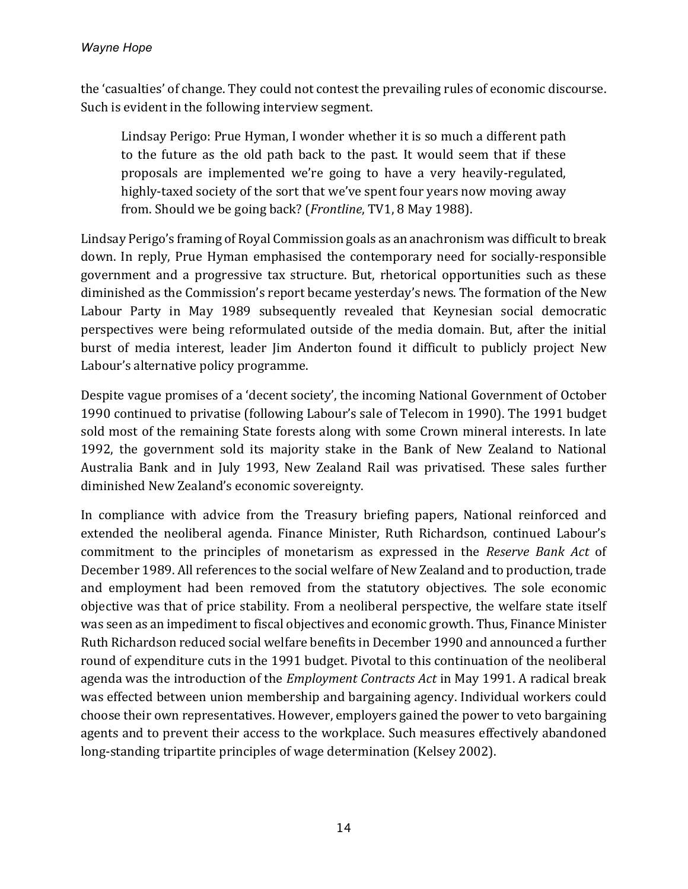the 'casualties' of change. They could not contest the prevailing rules of economic discourse. Such is evident in the following interview segment.

Lindsay Perigo: Prue Hyman, I wonder whether it is so much a different path to the future as the old path back to the past. It would seem that if these proposals are implemented we're going to have a very heavily-regulated, highly-taxed society of the sort that we've spent four years now moving away from. Should we be going back? (*Frontline*, TV1, 8 May 1988).

Lindsay Perigo's framing of Royal Commission goals as an anachronism was difficult to break down. In reply, Prue Hyman emphasised the contemporary need for socially-responsible government and a progressive tax structure. But, rhetorical opportunities such as these diminished as the Commission's report became yesterday's news. The formation of the New Labour Party in May 1989 subsequently revealed that Keynesian social democratic perspectives were being reformulated outside of the media domain. But, after the initial burst of media interest, leader Jim Anderton found it difficult to publicly project New Labour's alternative policy programme.

Despite vague promises of a 'decent society', the incoming National Government of October 1990 continued to privatise (following Labour's sale of Telecom in 1990). The 1991 budget sold most of the remaining State forests along with some Crown mineral interests. In late 1992, the government sold its majority stake in the Bank of New Zealand to National Australia Bank and in July 1993, New Zealand Rail was privatised. These sales further diminished New Zealand's economic sovereignty.

In compliance with advice from the Treasury briefing papers, National reinforced and extended the neoliberal agenda. Finance Minister, Ruth Richardson, continued Labour's commitment to the principles of monetarism as expressed in the *Reserve Bank Act* of December 1989. All references to the social welfare of New Zealand and to production, trade and employment had been removed from the statutory objectives. The sole economic objective was that of price stability. From a neoliberal perspective, the welfare state itself was seen as an impediment to fiscal objectives and economic growth. Thus, Finance Minister Ruth Richardson reduced social welfare benefits in December 1990 and announced a further round of expenditure cuts in the 1991 budget. Pivotal to this continuation of the neoliberal agenda was the introduction of the *Employment Contracts Act* in May 1991. A radical break was effected between union membership and bargaining agency. Individual workers could choose their own representatives. However, employers gained the power to veto bargaining agents and to prevent their access to the workplace. Such measures effectively abandoned long-standing tripartite principles of wage determination (Kelsey 2002).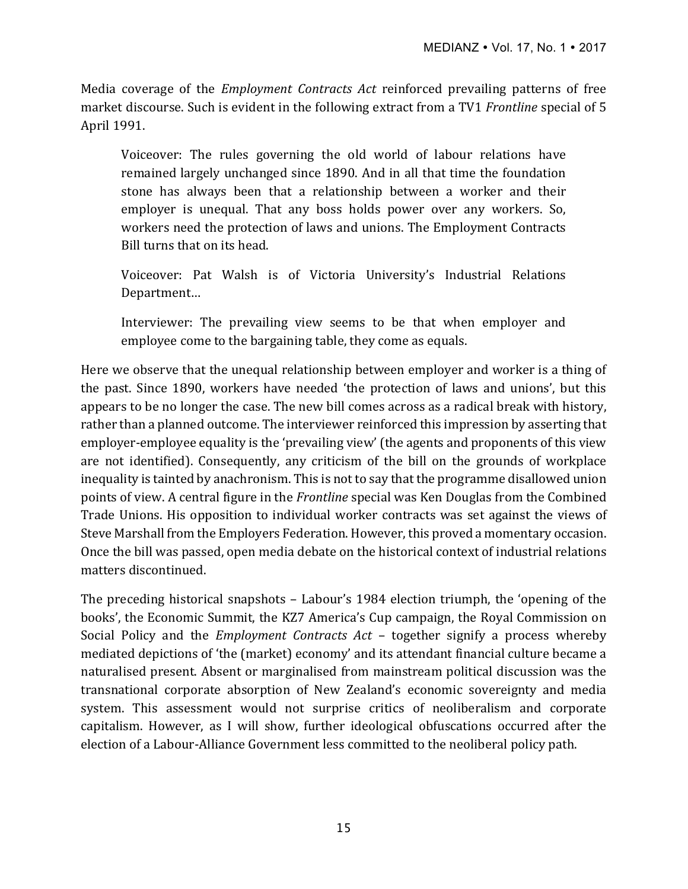Media coverage of the *Employment Contracts Act* reinforced prevailing patterns of free market discourse. Such is evident in the following extract from a TV1 *Frontline* special of 5 April 1991.

Voiceover: The rules governing the old world of labour relations have remained largely unchanged since 1890. And in all that time the foundation stone has always been that a relationship between a worker and their employer is unequal. That any boss holds power over any workers. So, workers need the protection of laws and unions. The Employment Contracts Bill turns that on its head.

Voiceover: Pat Walsh is of Victoria University's Industrial Relations Department…

Interviewer: The prevailing view seems to be that when employer and employee come to the bargaining table, they come as equals.

Here we observe that the unequal relationship between employer and worker is a thing of the past. Since 1890, workers have needed 'the protection of laws and unions', but this appears to be no longer the case. The new bill comes across as a radical break with history, rather than a planned outcome. The interviewer reinforced this impression by asserting that employer-employee equality is the 'prevailing view' (the agents and proponents of this view are not identified). Consequently, any criticism of the bill on the grounds of workplace inequality is tainted by anachronism. This is not to say that the programme disallowed union points of view. A central figure in the *Frontline* special was Ken Douglas from the Combined Trade Unions. His opposition to individual worker contracts was set against the views of Steve Marshall from the Employers Federation. However, this proved a momentary occasion. Once the bill was passed, open media debate on the historical context of industrial relations matters discontinued.

The preceding historical snapshots – Labour's 1984 election triumph, the 'opening of the books', the Economic Summit, the KZ7 America's Cup campaign, the Royal Commission on Social Policy and the *Employment Contracts Act* – together signify a process whereby mediated depictions of 'the (market) economy' and its attendant financial culture became a naturalised present. Absent or marginalised from mainstream political discussion was the transnational corporate absorption of New Zealand's economic sovereignty and media system. This assessment would not surprise critics of neoliberalism and corporate capitalism. However, as I will show, further ideological obfuscations occurred after the election of a Labour-Alliance Government less committed to the neoliberal policy path.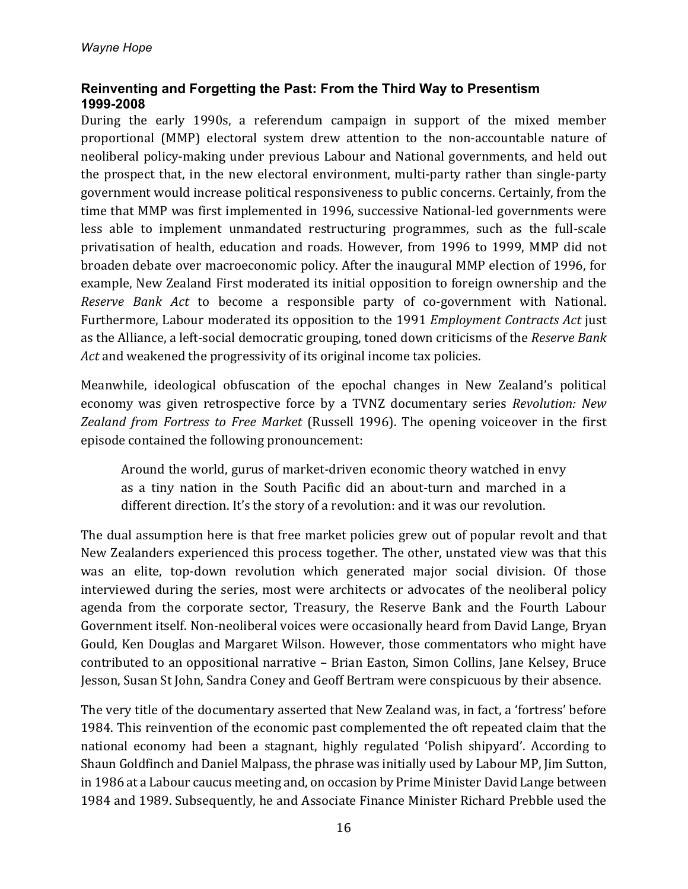# **Reinventing and Forgetting the Past: From the Third Way to Presentism 1999-2008**

During the early 1990s, a referendum campaign in support of the mixed member proportional (MMP) electoral system drew attention to the non-accountable nature of neoliberal policy-making under previous Labour and National governments, and held out the prospect that, in the new electoral environment, multi-party rather than single-party government would increase political responsiveness to public concerns. Certainly, from the time that MMP was first implemented in 1996, successive National-led governments were less able to implement unmandated restructuring programmes, such as the full-scale privatisation of health, education and roads. However, from 1996 to 1999, MMP did not broaden debate over macroeconomic policy. After the inaugural MMP election of 1996, for example, New Zealand First moderated its initial opposition to foreign ownership and the *Reserve Bank Act* to become a responsible party of co-government with National. Furthermore, Labour moderated its opposition to the 1991 *Employment Contracts Act* just as the Alliance, a left-social democratic grouping, toned down criticisms of the *Reserve Bank Act* and weakened the progressivity of its original income tax policies.

Meanwhile, ideological obfuscation of the epochal changes in New Zealand's political economy was given retrospective force by a TVNZ documentary series *Revolution:* New Zealand from Fortress to Free Market (Russell 1996). The opening voiceover in the first episode contained the following pronouncement:

Around the world, gurus of market-driven economic theory watched in envy as a tiny nation in the South Pacific did an about-turn and marched in a different direction. It's the story of a revolution: and it was our revolution.

The dual assumption here is that free market policies grew out of popular revolt and that New Zealanders experienced this process together. The other, unstated view was that this was an elite, top-down revolution which generated major social division. Of those interviewed during the series, most were architects or advocates of the neoliberal policy agenda from the corporate sector, Treasury, the Reserve Bank and the Fourth Labour Government itself. Non-neoliberal voices were occasionally heard from David Lange, Bryan Gould, Ken Douglas and Margaret Wilson. However, those commentators who might have contributed to an oppositional narrative - Brian Easton, Simon Collins, Jane Kelsey, Bruce Jesson, Susan St John, Sandra Coney and Geoff Bertram were conspicuous by their absence.

The very title of the documentary asserted that New Zealand was, in fact, a 'fortress' before 1984. This reinvention of the economic past complemented the oft repeated claim that the national economy had been a stagnant, highly regulated 'Polish shipyard'. According to Shaun Goldfinch and Daniel Malpass, the phrase was initially used by Labour MP, Jim Sutton, in 1986 at a Labour caucus meeting and, on occasion by Prime Minister David Lange between 1984 and 1989. Subsequently, he and Associate Finance Minister Richard Prebble used the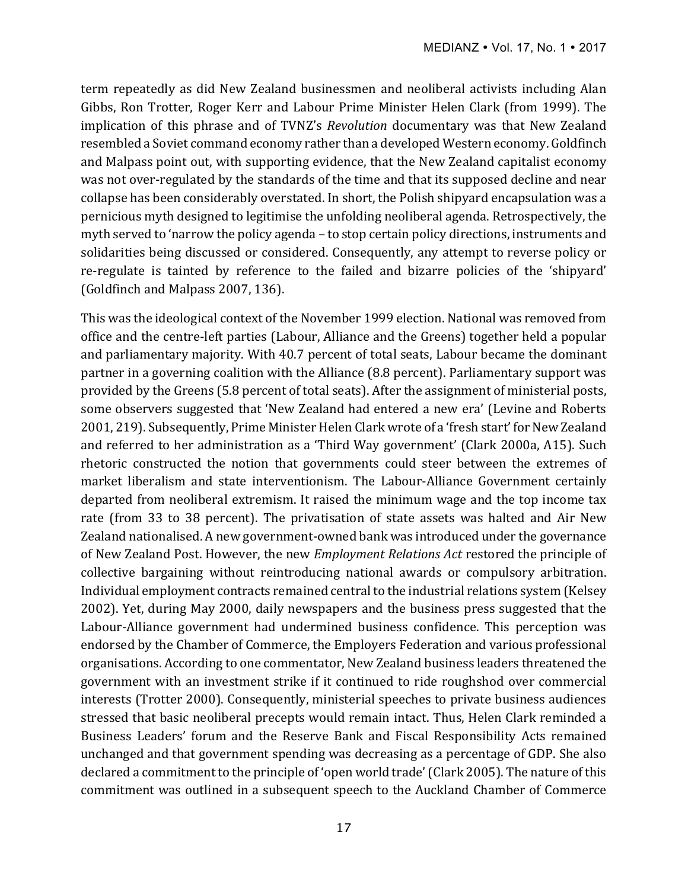term repeatedly as did New Zealand businessmen and neoliberal activists including Alan Gibbs, Ron Trotter, Roger Kerr and Labour Prime Minister Helen Clark (from 1999). The implication of this phrase and of TVNZ's *Revolution* documentary was that New Zealand resembled a Soviet command economy rather than a developed Western economy. Goldfinch and Malpass point out, with supporting evidence, that the New Zealand capitalist economy was not over-regulated by the standards of the time and that its supposed decline and near collapse has been considerably overstated. In short, the Polish shipyard encapsulation was a pernicious myth designed to legitimise the unfolding neoliberal agenda. Retrospectively, the myth served to 'narrow the policy agenda - to stop certain policy directions, instruments and solidarities being discussed or considered. Consequently, any attempt to reverse policy or re-regulate is tainted by reference to the failed and bizarre policies of the 'shipyard' (Goldfinch and Malpass 2007, 136).

This was the ideological context of the November 1999 election. National was removed from office and the centre-left parties (Labour, Alliance and the Greens) together held a popular and parliamentary majority. With 40.7 percent of total seats, Labour became the dominant partner in a governing coalition with the Alliance (8.8 percent). Parliamentary support was provided by the Greens (5.8 percent of total seats). After the assignment of ministerial posts, some observers suggested that 'New Zealand had entered a new era' (Levine and Roberts 2001, 219). Subsequently, Prime Minister Helen Clark wrote of a 'fresh start' for New Zealand and referred to her administration as a 'Third Way government' (Clark 2000a, A15). Such rhetoric constructed the notion that governments could steer between the extremes of market liberalism and state interventionism. The Labour-Alliance Government certainly departed from neoliberal extremism. It raised the minimum wage and the top income tax rate (from 33 to 38 percent). The privatisation of state assets was halted and Air New Zealand nationalised. A new government-owned bank was introduced under the governance of New Zealand Post. However, the new *Employment Relations Act* restored the principle of collective bargaining without reintroducing national awards or compulsory arbitration. Individual employment contracts remained central to the industrial relations system (Kelsey 2002). Yet, during May 2000, daily newspapers and the business press suggested that the Labour-Alliance government had undermined business confidence. This perception was endorsed by the Chamber of Commerce, the Employers Federation and various professional organisations. According to one commentator, New Zealand business leaders threatened the government with an investment strike if it continued to ride roughshod over commercial interests (Trotter 2000). Consequently, ministerial speeches to private business audiences stressed that basic neoliberal precepts would remain intact. Thus, Helen Clark reminded a Business Leaders' forum and the Reserve Bank and Fiscal Responsibility Acts remained unchanged and that government spending was decreasing as a percentage of GDP. She also declared a commitment to the principle of 'open world trade' (Clark 2005). The nature of this commitment was outlined in a subsequent speech to the Auckland Chamber of Commerce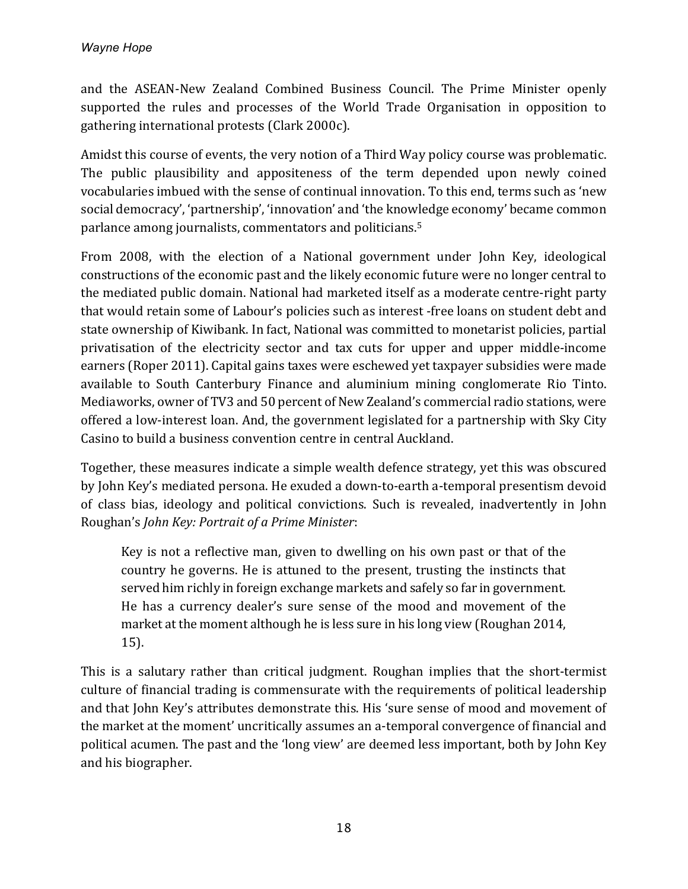and the ASEAN-New Zealand Combined Business Council. The Prime Minister openly supported the rules and processes of the World Trade Organisation in opposition to gathering international protests (Clark 2000c).

Amidst this course of events, the very notion of a Third Way policy course was problematic. The public plausibility and appositeness of the term depended upon newly coined vocabularies imbued with the sense of continual innovation. To this end, terms such as 'new social democracy', 'partnership', 'innovation' and 'the knowledge economy' became common parlance among journalists, commentators and politicians.<sup>5</sup>

From 2008, with the election of a National government under John Key, ideological constructions of the economic past and the likely economic future were no longer central to the mediated public domain. National had marketed itself as a moderate centre-right party that would retain some of Labour's policies such as interest -free loans on student debt and state ownership of Kiwibank. In fact, National was committed to monetarist policies, partial privatisation of the electricity sector and tax cuts for upper and upper middle-income earners (Roper 2011). Capital gains taxes were eschewed yet taxpayer subsidies were made available to South Canterbury Finance and aluminium mining conglomerate Rio Tinto. Mediaworks, owner of TV3 and 50 percent of New Zealand's commercial radio stations, were offered a low-interest loan. And, the government legislated for a partnership with Sky City Casino to build a business convention centre in central Auckland.

Together, these measures indicate a simple wealth defence strategy, yet this was obscured by John Key's mediated persona. He exuded a down-to-earth a-temporal presentism devoid of class bias, ideology and political convictions. Such is revealed, inadvertently in John Roughan's *John Key: Portrait of a Prime Minister*:

Key is not a reflective man, given to dwelling on his own past or that of the country he governs. He is attuned to the present, trusting the instincts that served him richly in foreign exchange markets and safely so far in government. He has a currency dealer's sure sense of the mood and movement of the market at the moment although he is less sure in his long view (Roughan 2014, 15).

This is a salutary rather than critical judgment. Roughan implies that the short-termist culture of financial trading is commensurate with the requirements of political leadership and that John Key's attributes demonstrate this. His 'sure sense of mood and movement of the market at the moment' uncritically assumes an a-temporal convergence of financial and political acumen. The past and the 'long view' are deemed less important, both by John Key and his biographer.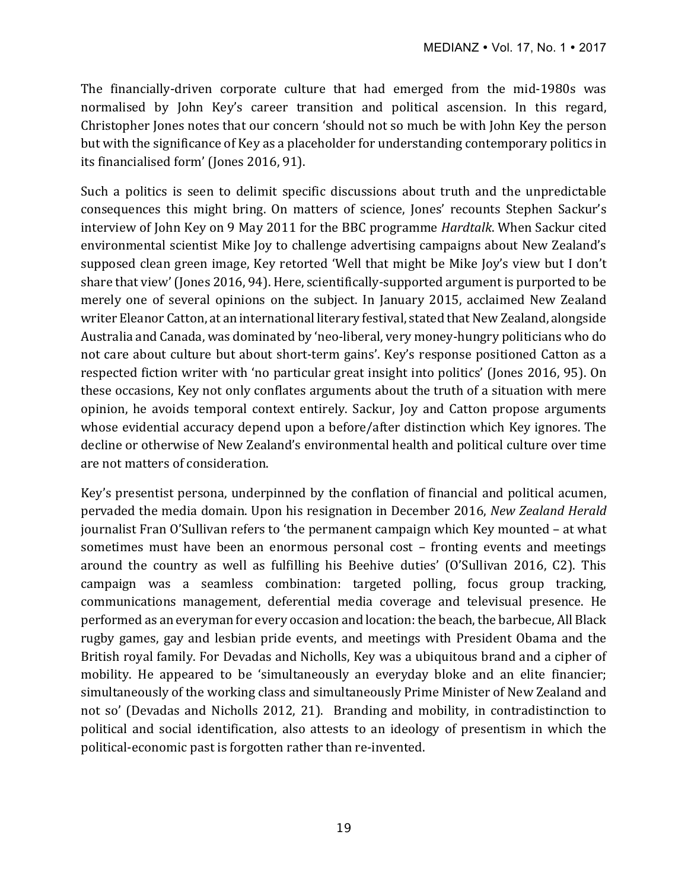The financially-driven corporate culture that had emerged from the mid-1980s was normalised by John Key's career transition and political ascension. In this regard, Christopher Jones notes that our concern 'should not so much be with John Key the person but with the significance of Key as a placeholder for understanding contemporary politics in its financialised form' (Jones 2016, 91).

Such a politics is seen to delimit specific discussions about truth and the unpredictable consequences this might bring. On matters of science, Jones' recounts Stephen Sackur's interview of John Key on 9 May 2011 for the BBC programme *Hardtalk*. When Sackur cited environmental scientist Mike Joy to challenge advertising campaigns about New Zealand's supposed clean green image, Key retorted 'Well that might be Mike Joy's view but I don't share that view' (Jones 2016, 94). Here, scientifically-supported argument is purported to be merely one of several opinions on the subject. In January 2015, acclaimed New Zealand writer Eleanor Catton, at an international literary festival, stated that New Zealand, alongside Australia and Canada, was dominated by 'neo-liberal, very money-hungry politicians who do not care about culture but about short-term gains'. Key's response positioned Catton as a respected fiction writer with 'no particular great insight into politics' (Jones 2016, 95). On these occasions, Key not only conflates arguments about the truth of a situation with mere opinion, he avoids temporal context entirely. Sackur, Joy and Catton propose arguments whose evidential accuracy depend upon a before/after distinction which Key ignores. The decline or otherwise of New Zealand's environmental health and political culture over time are not matters of consideration.

Key's presentist persona, underpinned by the conflation of financial and political acumen, pervaded the media domain. Upon his resignation in December 2016, *New Zealand Herald* journalist Fran O'Sullivan refers to 'the permanent campaign which Key mounted - at what sometimes must have been an enormous personal cost – fronting events and meetings around the country as well as fulfilling his Beehive duties' (O'Sullivan 2016, C2). This campaign was a seamless combination: targeted polling, focus group tracking, communications management, deferential media coverage and televisual presence. He performed as an everyman for every occasion and location: the beach, the barbecue, All Black rugby games, gay and lesbian pride events, and meetings with President Obama and the British royal family. For Devadas and Nicholls, Key was a ubiquitous brand and a cipher of mobility. He appeared to be 'simultaneously an everyday bloke and an elite financier; simultaneously of the working class and simultaneously Prime Minister of New Zealand and not so' (Devadas and Nicholls 2012, 21). Branding and mobility, in contradistinction to political and social identification, also attests to an ideology of presentism in which the political-economic past is forgotten rather than re-invented.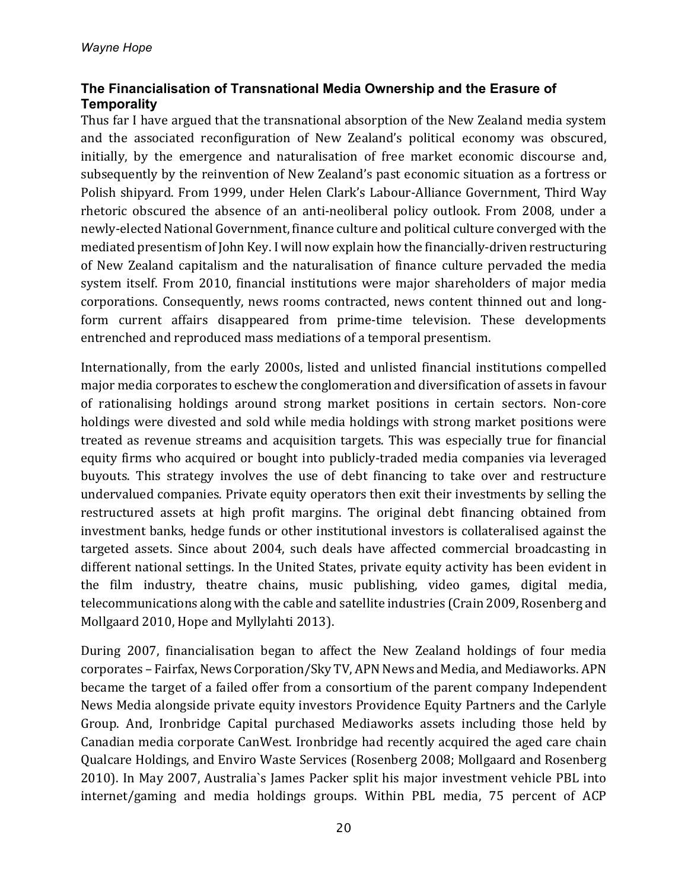# **The Financialisation of Transnational Media Ownership and the Erasure of Temporality**

Thus far I have argued that the transnational absorption of the New Zealand media system and the associated reconfiguration of New Zealand's political economy was obscured, initially, by the emergence and naturalisation of free market economic discourse and, subsequently by the reinvention of New Zealand's past economic situation as a fortress or Polish shipyard. From 1999, under Helen Clark's Labour-Alliance Government, Third Way rhetoric obscured the absence of an anti-neoliberal policy outlook. From 2008, under a newly-elected National Government, finance culture and political culture converged with the mediated presentism of John Key. I will now explain how the financially-driven restructuring of New Zealand capitalism and the naturalisation of finance culture pervaded the media system itself. From 2010, financial institutions were major shareholders of major media corporations. Consequently, news rooms contracted, news content thinned out and longform current affairs disappeared from prime-time television. These developments entrenched and reproduced mass mediations of a temporal presentism.

Internationally, from the early 2000s, listed and unlisted financial institutions compelled major media corporates to eschew the conglomeration and diversification of assets in favour of rationalising holdings around strong market positions in certain sectors. Non-core holdings were divested and sold while media holdings with strong market positions were treated as revenue streams and acquisition targets. This was especially true for financial equity firms who acquired or bought into publicly-traded media companies via leveraged buyouts. This strategy involves the use of debt financing to take over and restructure undervalued companies. Private equity operators then exit their investments by selling the restructured assets at high profit margins. The original debt financing obtained from investment banks, hedge funds or other institutional investors is collateralised against the targeted assets. Since about 2004, such deals have affected commercial broadcasting in different national settings. In the United States, private equity activity has been evident in the film industry, theatre chains, music publishing, video games, digital media, telecommunications along with the cable and satellite industries (Crain 2009, Rosenberg and Mollgaard 2010, Hope and Myllylahti 2013).

During 2007, financialisation began to affect the New Zealand holdings of four media corporates - Fairfax, News Corporation/Sky TV, APN News and Media, and Mediaworks. APN became the target of a failed offer from a consortium of the parent company Independent News Media alongside private equity investors Providence Equity Partners and the Carlyle Group. And, Ironbridge Capital purchased Mediaworks assets including those held by Canadian media corporate CanWest. Ironbridge had recently acquired the aged care chain Qualcare Holdings, and Enviro Waste Services (Rosenberg 2008; Mollgaard and Rosenberg 2010). In May 2007, Australia's James Packer split his major investment vehicle PBL into internet/gaming and media holdings groups. Within PBL media, 75 percent of ACP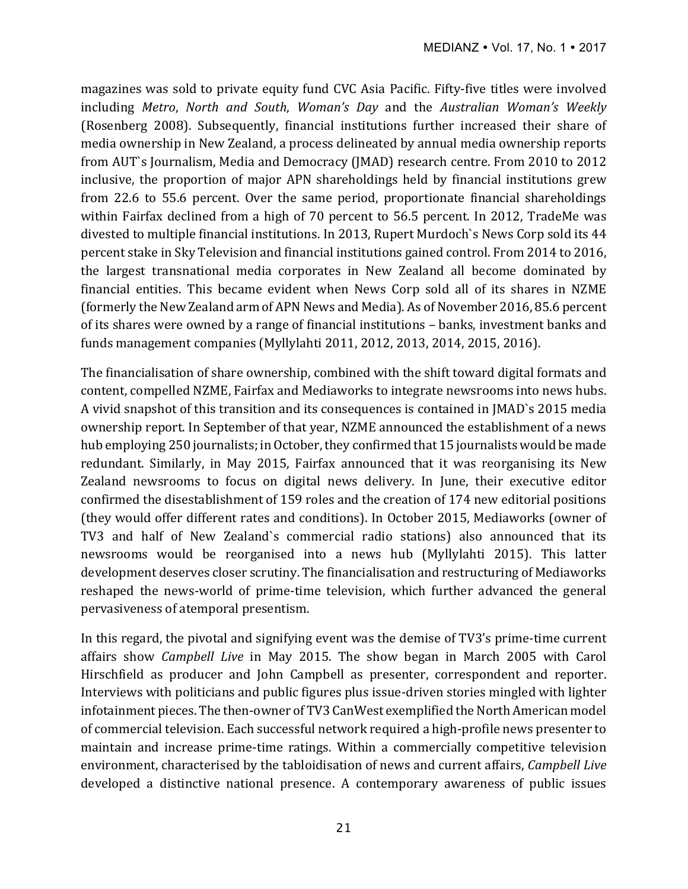magazines was sold to private equity fund CVC Asia Pacific. Fifty-five titles were involved including Metro, North and South, Woman's Day and the Australian Woman's Weekly (Rosenberg 2008). Subsequently, financial institutions further increased their share of media ownership in New Zealand, a process delineated by annual media ownership reports from AUT`s Journalism, Media and Democracy (JMAD) research centre. From 2010 to 2012 inclusive, the proportion of major APN shareholdings held by financial institutions grew from 22.6 to 55.6 percent. Over the same period, proportionate financial shareholdings within Fairfax declined from a high of 70 percent to 56.5 percent. In 2012, TradeMe was divested to multiple financial institutions. In 2013, Rupert Murdoch's News Corp sold its 44 percent stake in Sky Television and financial institutions gained control. From 2014 to 2016, the largest transnational media corporates in New Zealand all become dominated by financial entities. This became evident when News Corp sold all of its shares in NZME (formerly the New Zealand arm of APN News and Media). As of November 2016, 85.6 percent of its shares were owned by a range of financial institutions - banks, investment banks and funds management companies (Myllylahti 2011, 2012, 2013, 2014, 2015, 2016).

The financialisation of share ownership, combined with the shift toward digital formats and content, compelled NZME, Fairfax and Mediaworks to integrate newsrooms into news hubs. A vivid snapshot of this transition and its consequences is contained in JMAD`s 2015 media ownership report. In September of that year, NZME announced the establishment of a news hub employing 250 journalists; in October, they confirmed that 15 journalists would be made redundant. Similarly, in May 2015, Fairfax announced that it was reorganising its New Zealand newsrooms to focus on digital news delivery. In June, their executive editor confirmed the disestablishment of 159 roles and the creation of 174 new editorial positions (they would offer different rates and conditions). In October 2015, Mediaworks (owner of TV3 and half of New Zealand's commercial radio stations) also announced that its newsrooms would be reorganised into a news hub (Myllylahti 2015). This latter development deserves closer scrutiny. The financialisation and restructuring of Mediaworks reshaped the news-world of prime-time television, which further advanced the general pervasiveness of atemporal presentism.

In this regard, the pivotal and signifying event was the demise of TV3's prime-time current affairs show *Campbell Live* in May 2015. The show began in March 2005 with Carol Hirschfield as producer and John Campbell as presenter, correspondent and reporter. Interviews with politicians and public figures plus issue-driven stories mingled with lighter infotainment pieces. The then-owner of TV3 CanWest exemplified the North American model of commercial television. Each successful network required a high-profile news presenter to maintain and increase prime-time ratings. Within a commercially competitive television environment, characterised by the tabloidisation of news and current affairs, *Campbell Live* developed a distinctive national presence. A contemporary awareness of public issues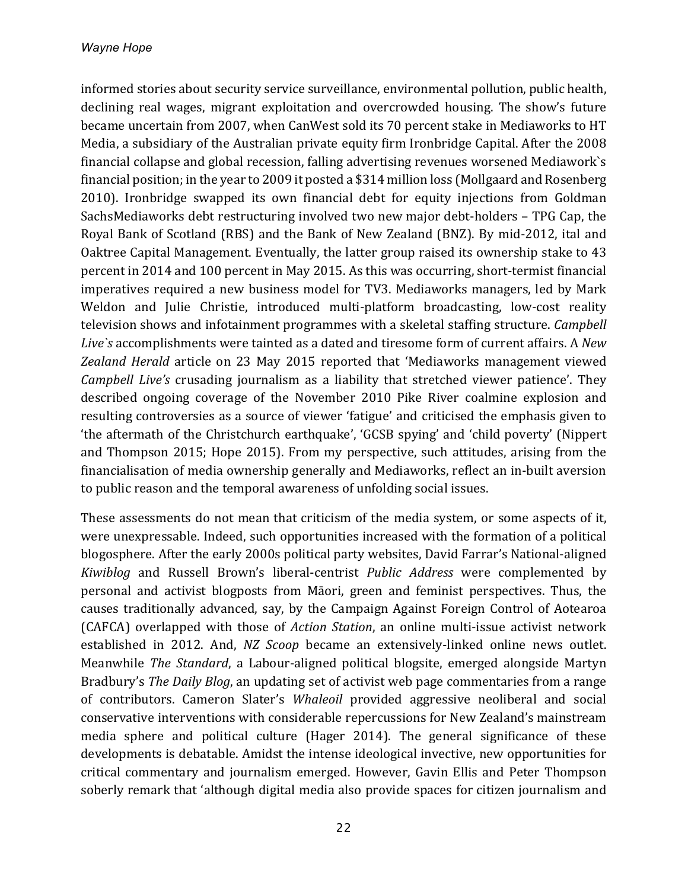informed stories about security service surveillance, environmental pollution, public health, declining real wages, migrant exploitation and overcrowded housing. The show's future became uncertain from 2007, when CanWest sold its 70 percent stake in Mediaworks to HT Media, a subsidiary of the Australian private equity firm Ironbridge Capital. After the 2008 financial collapse and global recession, falling advertising revenues worsened Mediawork's financial position; in the year to 2009 it posted a \$314 million loss (Mollgaard and Rosenberg 2010). Ironbridge swapped its own financial debt for equity injections from Goldman SachsMediaworks debt restructuring involved two new major debt-holders - TPG Cap, the Royal Bank of Scotland (RBS) and the Bank of New Zealand (BNZ). By mid-2012, ital and Oaktree Capital Management. Eventually, the latter group raised its ownership stake to 43 percent in 2014 and 100 percent in May 2015. As this was occurring, short-termist financial imperatives required a new business model for TV3. Mediaworks managers, led by Mark Weldon and Julie Christie, introduced multi-platform broadcasting, low-cost reality television shows and infotainment programmes with a skeletal staffing structure. *Campbell* Live's accomplishments were tainted as a dated and tiresome form of current affairs. A *New* Zealand Herald article on 23 May 2015 reported that 'Mediaworks management viewed *Campbell Live's* crusading journalism as a liability that stretched viewer patience'. They described ongoing coverage of the November 2010 Pike River coalmine explosion and resulting controversies as a source of viewer 'fatigue' and criticised the emphasis given to 'the aftermath of the Christchurch earthquake', 'GCSB spying' and 'child poverty' (Nippert and Thompson 2015; Hope 2015). From my perspective, such attitudes, arising from the financialisation of media ownership generally and Mediaworks, reflect an in-built aversion to public reason and the temporal awareness of unfolding social issues.

These assessments do not mean that criticism of the media system, or some aspects of it, were unexpressable. Indeed, such opportunities increased with the formation of a political blogosphere. After the early 2000s political party websites, David Farrar's National-aligned *Kiwiblog* and Russell Brown's liberal-centrist *Public Address* were complemented by personal and activist blogposts from Māori, green and feminist perspectives. Thus, the causes traditionally advanced, say, by the Campaign Against Foreign Control of Aotearoa (CAFCA) overlapped with those of *Action Station*, an online multi-issue activist network established in 2012. And, *NZ Scoop* became an extensively-linked online news outlet. Meanwhile *The Standard*, a Labour-aligned political blogsite, emerged alongside Martyn Bradbury's *The Daily Blog*, an updating set of activist web page commentaries from a range of contributors. Cameron Slater's *Whaleoil* provided aggressive neoliberal and social conservative interventions with considerable repercussions for New Zealand's mainstream media sphere and political culture (Hager 2014). The general significance of these developments is debatable. Amidst the intense ideological invective, new opportunities for critical commentary and journalism emerged. However, Gavin Ellis and Peter Thompson soberly remark that 'although digital media also provide spaces for citizen journalism and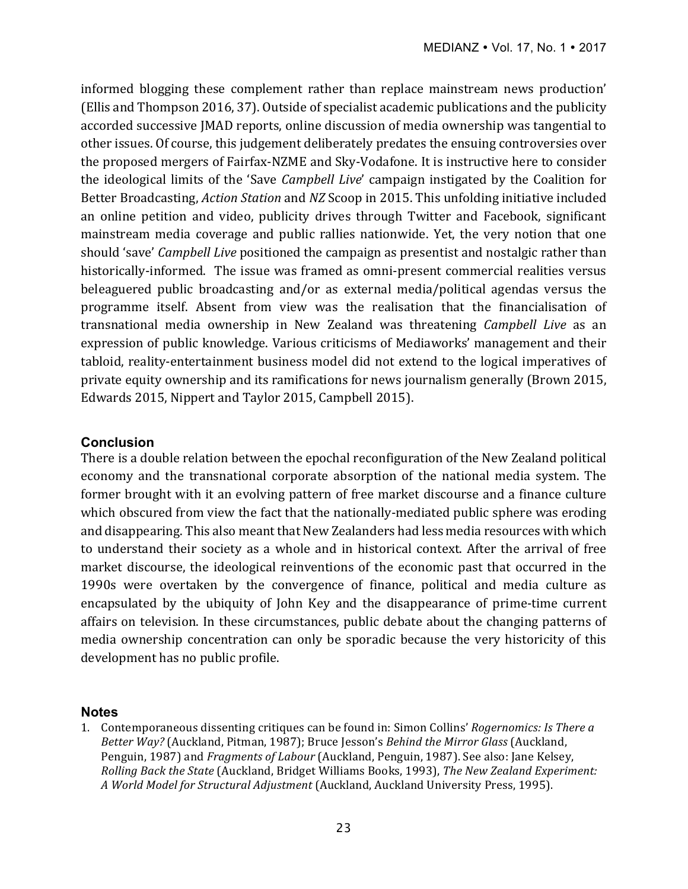informed blogging these complement rather than replace mainstream news production' (Ellis and Thompson 2016, 37). Outside of specialist academic publications and the publicity accorded successive JMAD reports, online discussion of media ownership was tangential to other issues. Of course, this judgement deliberately predates the ensuing controversies over the proposed mergers of Fairfax-NZME and Sky-Vodafone. It is instructive here to consider the ideological limits of the 'Save *Campbell Live'* campaign instigated by the Coalition for Better Broadcasting, *Action Station* and *NZ* Scoop in 2015. This unfolding initiative included an online petition and video, publicity drives through Twitter and Facebook, significant mainstream media coverage and public rallies nationwide. Yet, the very notion that one should 'save' *Campbell Live* positioned the campaign as presentist and nostalgic rather than historically-informed. The issue was framed as omni-present commercial realities versus beleaguered public broadcasting and/or as external media/political agendas versus the programme itself. Absent from view was the realisation that the financialisation of transnational media ownership in New Zealand was threatening *Campbell Live* as an expression of public knowledge. Various criticisms of Mediaworks' management and their tabloid, reality-entertainment business model did not extend to the logical imperatives of private equity ownership and its ramifications for news journalism generally (Brown 2015, Edwards 2015, Nippert and Taylor 2015, Campbell 2015).

### **Conclusion**

There is a double relation between the epochal reconfiguration of the New Zealand political economy and the transnational corporate absorption of the national media system. The former brought with it an evolving pattern of free market discourse and a finance culture which obscured from view the fact that the nationally-mediated public sphere was eroding and disappearing. This also meant that New Zealanders had less media resources with which to understand their society as a whole and in historical context. After the arrival of free market discourse, the ideological reinventions of the economic past that occurred in the 1990s were overtaken by the convergence of finance, political and media culture as encapsulated by the ubiquity of John Key and the disappearance of prime-time current affairs on television. In these circumstances, public debate about the changing patterns of media ownership concentration can only be sporadic because the very historicity of this development has no public profile.

#### **Notes**

1. Contemporaneous dissenting critiques can be found in: Simon Collins' *Rogernomics: Is There a Better Way?* (Auckland, Pitman, 1987); Bruce Jesson's *Behind the Mirror Glass* (Auckland, Penguin, 1987) and *Fragments of Labour* (Auckland, Penguin, 1987). See also: Jane Kelsey, *Rolling Back the State* (Auckland, Bridget Williams Books, 1993), *The New Zealand Experiment: A World Model for Structural Adjustment* (Auckland, Auckland University Press, 1995).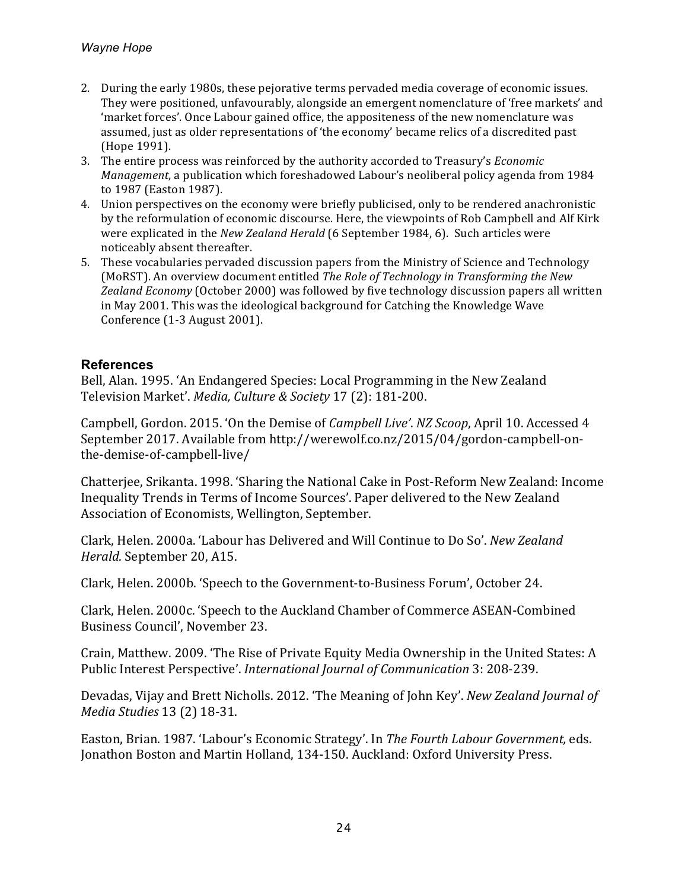- 2. During the early 1980s, these pejorative terms pervaded media coverage of economic issues. They were positioned, unfavourably, alongside an emergent nomenclature of 'free markets' and 'market forces'. Once Labour gained office, the appositeness of the new nomenclature was assumed, just as older representations of 'the economy' became relics of a discredited past (Hope 1991).
- 3. The entire process was reinforced by the authority accorded to Treasury's *Economic Management*, a publication which foreshadowed Labour's neoliberal policy agenda from 1984 to 1987 (Easton 1987).
- 4. Union perspectives on the economy were briefly publicised, only to be rendered anachronistic by the reformulation of economic discourse. Here, the viewpoints of Rob Campbell and Alf Kirk were explicated in the *New Zealand Herald* (6 September 1984, 6). Such articles were noticeably absent thereafter.
- 5. These vocabularies pervaded discussion papers from the Ministry of Science and Technology (MoRST). An overview document entitled *The Role of Technology in Transforming the New* Zealand *Economy* (October 2000) was followed by five technology discussion papers all written in May 2001. This was the ideological background for Catching the Knowledge Wave Conference (1-3 August 2001).

# **References**

Bell, Alan. 1995. 'An Endangered Species: Local Programming in the New Zealand Television Market'. *Media, Culture & Society* 17 (2): 181-200.

Campbell, Gordon. 2015. 'On the Demise of *Campbell Live'*. *NZ Scoop*, April 10. Accessed 4 September 2017. Available from http://werewolf.co.nz/2015/04/gordon-campbell-onthe-demise-of-campbell-live/

Chatterjee, Srikanta. 1998. 'Sharing the National Cake in Post-Reform New Zealand: Income Inequality Trends in Terms of Income Sources'. Paper delivered to the New Zealand Association of Economists, Wellington, September.

Clark, Helen. 2000a. 'Labour has Delivered and Will Continue to Do So'. *New Zealand Herald.* September 20, A15.

Clark, Helen. 2000b. 'Speech to the Government-to-Business Forum', October 24.

Clark, Helen. 2000c. 'Speech to the Auckland Chamber of Commerce ASEAN-Combined Business Council', November 23.

Crain, Matthew. 2009. 'The Rise of Private Equity Media Ownership in the United States: A Public Interest Perspective'. *International Journal of Communication* 3: 208-239.

Devadas, Vijay and Brett Nicholls. 2012. 'The Meaning of John Key'. *New Zealand Journal of Media Studies* 13 (2) 18-31.

Easton, Brian. 1987. 'Labour's Economic Strategy'. In The Fourth Labour Government, eds. Jonathon Boston and Martin Holland, 134-150. Auckland: Oxford University Press.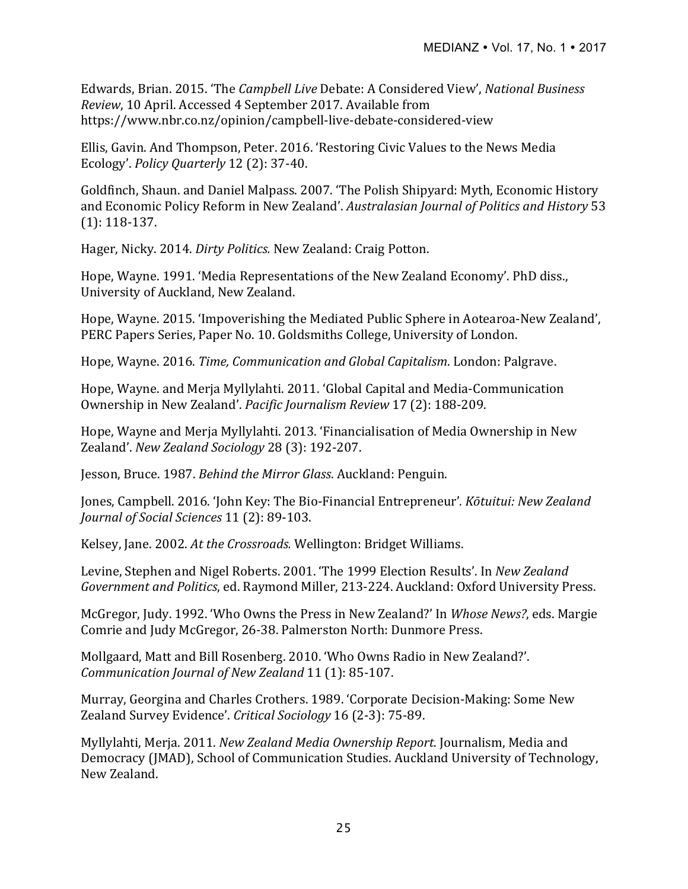Edwards, Brian. 2015. 'The *Campbell Live* Debate: A Considered View', *National Business Review*, 10 April. Accessed 4 September 2017. Available from https://www.nbr.co.nz/opinion/campbell-live-debate-considered-view

Ellis, Gavin. And Thompson, Peter. 2016. 'Restoring Civic Values to the News Media Ecology'. *Policy Quarterly* 12 (2): 37-40.

Goldfinch, Shaun. and Daniel Malpass. 2007. 'The Polish Shipyard: Myth, Economic History and Economic Policy Reform in New Zealand'. Australasian Journal of Politics and History 53  $(1): 118-137.$ 

Hager, Nicky. 2014. *Dirty Politics.* New Zealand: Craig Potton.

Hope, Wayne. 1991. 'Media Representations of the New Zealand Economy'. PhD diss., University of Auckland, New Zealand.

Hope, Wayne. 2015. 'Impoverishing the Mediated Public Sphere in Aotearoa-New Zealand', PERC Papers Series, Paper No. 10. Goldsmiths College, University of London.

Hope, Wayne. 2016. *Time, Communication and Global Capitalism*. London: Palgrave.

Hope, Wayne. and Merja Myllylahti. 2011. 'Global Capital and Media-Communication Ownership in New Zealand'. *Pacific Journalism Review* 17 (2): 188-209.

Hope, Wayne and Merja Myllylahti. 2013. 'Financialisation of Media Ownership in New Zealand'. *New Zealand Sociology* 28 (3): 192-207.

Jesson, Bruce. 1987. *Behind the Mirror Glass*. Auckland: Penguin.

Jones, Campbell. 2016. 'John Key: The Bio-Financial Entrepreneur'. *Kōtuitui: New Zealand Journal of Social Sciences* 11 (2): 89-103.

Kelsey, Jane. 2002. At the Crossroads. Wellington: Bridget Williams.

Levine, Stephen and Nigel Roberts. 2001. 'The 1999 Election Results'. In *New Zealand* Government and Politics, ed. Raymond Miller, 213-224. Auckland: Oxford University Press.

McGregor, Judy. 1992. 'Who Owns the Press in New Zealand?' In *Whose News?*, eds. Margie Comrie and Judy McGregor, 26-38. Palmerston North: Dunmore Press.

Mollgaard, Matt and Bill Rosenberg. 2010. 'Who Owns Radio in New Zealand?'. *Communication Journal of New Zealand* 11 (1): 85-107.

Murray, Georgina and Charles Crothers. 1989. 'Corporate Decision-Making: Some New Zealand Survey Evidence'. *Critical Sociology* 16 (2-3): 75-89.

Myllylahti, Merja. 2011. *New Zealand Media Ownership Report*. Journalism, Media and Democracy (JMAD), School of Communication Studies. Auckland University of Technology, New Zealand.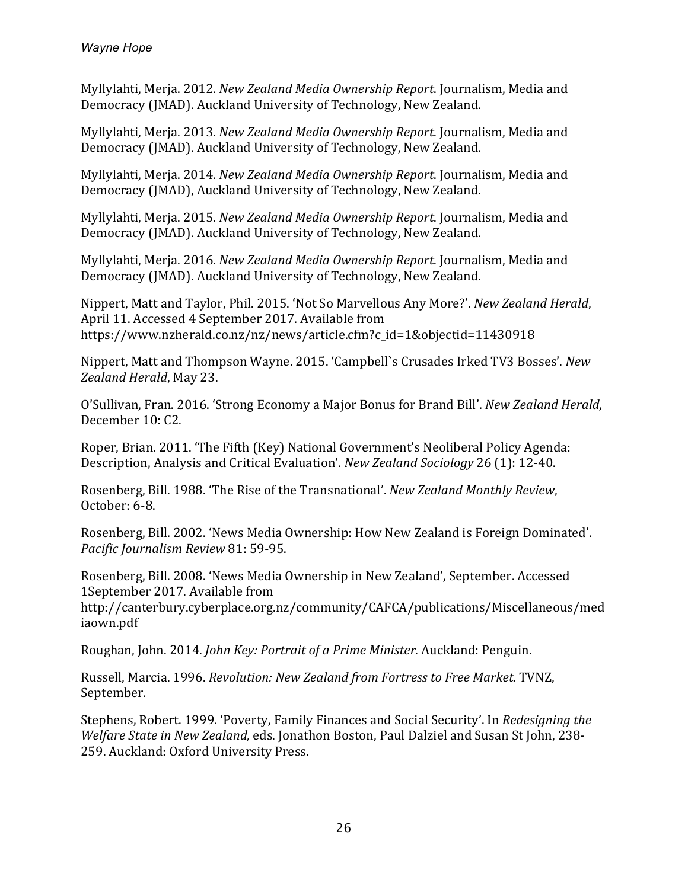Myllylahti, Merja. 2012. *New Zealand Media Ownership Report*. Journalism, Media and Democracy (JMAD). Auckland University of Technology, New Zealand.

Myllylahti, Merja. 2013. *New Zealand Media Ownership Report*. Journalism, Media and Democracy (JMAD). Auckland University of Technology, New Zealand.

Myllylahti, Merja. 2014. *New Zealand Media Ownership Report*. Journalism, Media and Democracy (JMAD), Auckland University of Technology, New Zealand.

Myllylahti, Merja. 2015. *New Zealand Media Ownership Report*. Journalism, Media and Democracy (JMAD). Auckland University of Technology, New Zealand.

Myllylahti, Merja. 2016. *New Zealand Media Ownership Report*. Journalism, Media and Democracy (JMAD). Auckland University of Technology, New Zealand.

Nippert, Matt and Taylor, Phil. 2015. 'Not So Marvellous Any More?'. *New Zealand Herald*, April 11. Accessed 4 September 2017. Available from https://www.nzherald.co.nz/nz/news/article.cfm?c\_id=1&objectid=11430918

Nippert, Matt and Thompson Wayne. 2015. 'Campbell's Crusades Irked TV3 Bosses'. *New Zealand Herald*, May 23.

O'Sullivan, Fran. 2016. 'Strong Economy a Major Bonus for Brand Bill'. *New Zealand Herald*, December 10: C2.

Roper, Brian. 2011. 'The Fifth (Key) National Government's Neoliberal Policy Agenda: Description, Analysis and Critical Evaluation'. *New Zealand Sociology* 26 (1): 12-40.

Rosenberg, Bill. 1988. 'The Rise of the Transnational'. *New Zealand Monthly Review*, October: 6-8.

Rosenberg, Bill. 2002. 'News Media Ownership: How New Zealand is Foreign Dominated'. *Pacific Journalism Review* 81: 59-95.

Rosenberg, Bill. 2008. 'News Media Ownership in New Zealand', September. Accessed 1September 2017. Available from

http://canterbury.cyberplace.org.nz/community/CAFCA/publications/Miscellaneous/med iaown.pdf

Roughan, John. 2014. *John Key: Portrait of a Prime Minister.* Auckland: Penguin.

Russell, Marcia. 1996. *Revolution: New Zealand from Fortress to Free Market.* TVNZ, September.

Stephens, Robert. 1999. 'Poverty, Family Finances and Social Security'. In *Redesigning the Welfare State in New Zealand, eds. Jonathon Boston, Paul Dalziel and Susan St John, 238-*259. Auckland: Oxford University Press.